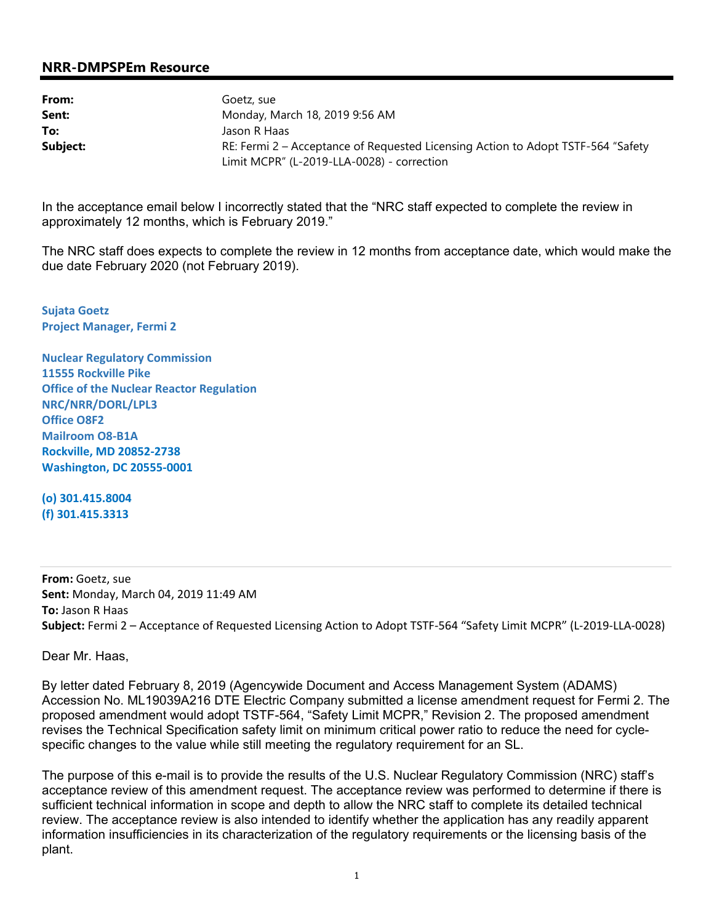## **NRR-DMPSPEm Resource**

| From:    | Goetz, sue                                                                       |  |  |
|----------|----------------------------------------------------------------------------------|--|--|
| Sent:    | Monday, March 18, 2019 9:56 AM                                                   |  |  |
| To:      | Jason R Haas                                                                     |  |  |
| Subject: | RE: Fermi 2 – Acceptance of Requested Licensing Action to Adopt TSTF-564 "Safety |  |  |
|          | Limit MCPR" (L-2019-LLA-0028) - correction                                       |  |  |

In the acceptance email below I incorrectly stated that the "NRC staff expected to complete the review in approximately 12 months, which is February 2019."

The NRC staff does expects to complete the review in 12 months from acceptance date, which would make the due date February 2020 (not February 2019).

**Sujata Goetz Project Manager, Fermi 2** 

**Nuclear Regulatory Commission 11555 Rockville Pike Office of the Nuclear Reactor Regulation NRC/NRR/DORL/LPL3 Office O8F2 Mailroom O8-B1A Rockville, MD 20852-2738 Washington, DC 20555-0001** 

**(o) 301.415.8004 (f) 301.415.3313** 

**From:** Goetz, sue **Sent:** Monday, March 04, 2019 11:49 AM **To:** Jason R Haas **Subject:** Fermi 2 – Acceptance of Requested Licensing Action to Adopt TSTF-564 "Safety Limit MCPR" (L-2019-LLA-0028)

Dear Mr. Haas,

By letter dated February 8, 2019 (Agencywide Document and Access Management System (ADAMS) Accession No. ML19039A216 DTE Electric Company submitted a license amendment request for Fermi 2. The proposed amendment would adopt TSTF-564, "Safety Limit MCPR," Revision 2. The proposed amendment revises the Technical Specification safety limit on minimum critical power ratio to reduce the need for cyclespecific changes to the value while still meeting the regulatory requirement for an SL.

The purpose of this e-mail is to provide the results of the U.S. Nuclear Regulatory Commission (NRC) staff's acceptance review of this amendment request. The acceptance review was performed to determine if there is sufficient technical information in scope and depth to allow the NRC staff to complete its detailed technical review. The acceptance review is also intended to identify whether the application has any readily apparent information insufficiencies in its characterization of the regulatory requirements or the licensing basis of the plant.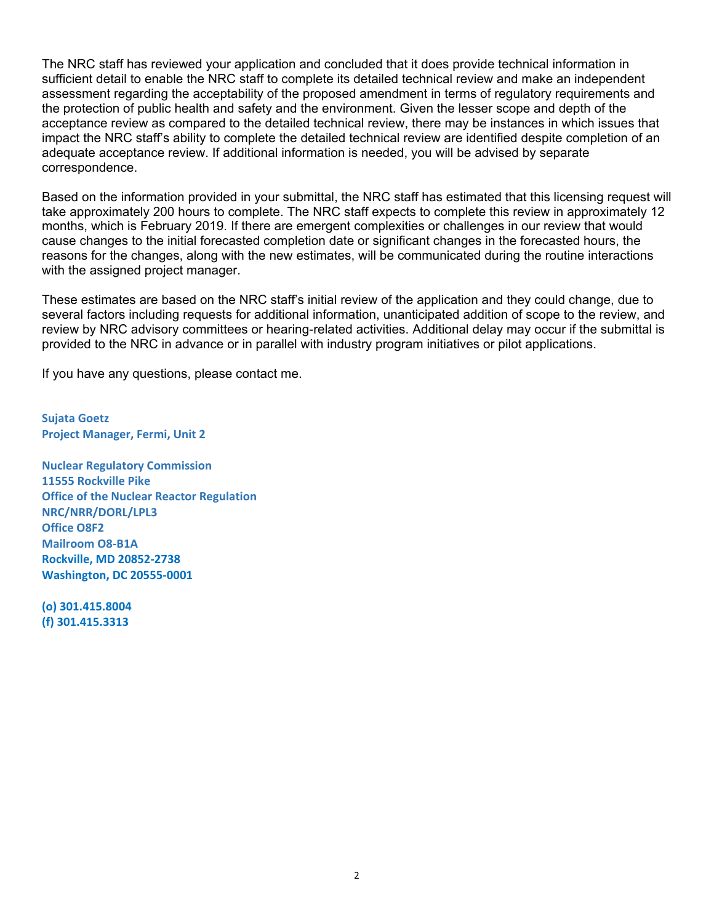The NRC staff has reviewed your application and concluded that it does provide technical information in sufficient detail to enable the NRC staff to complete its detailed technical review and make an independent assessment regarding the acceptability of the proposed amendment in terms of regulatory requirements and the protection of public health and safety and the environment. Given the lesser scope and depth of the acceptance review as compared to the detailed technical review, there may be instances in which issues that impact the NRC staff's ability to complete the detailed technical review are identified despite completion of an adequate acceptance review. If additional information is needed, you will be advised by separate correspondence.

Based on the information provided in your submittal, the NRC staff has estimated that this licensing request will take approximately 200 hours to complete. The NRC staff expects to complete this review in approximately 12 months, which is February 2019. If there are emergent complexities or challenges in our review that would cause changes to the initial forecasted completion date or significant changes in the forecasted hours, the reasons for the changes, along with the new estimates, will be communicated during the routine interactions with the assigned project manager.

These estimates are based on the NRC staff's initial review of the application and they could change, due to several factors including requests for additional information, unanticipated addition of scope to the review, and review by NRC advisory committees or hearing-related activities. Additional delay may occur if the submittal is provided to the NRC in advance or in parallel with industry program initiatives or pilot applications.

If you have any questions, please contact me.

**Sujata Goetz Project Manager, Fermi, Unit 2** 

**Nuclear Regulatory Commission 11555 Rockville Pike Office of the Nuclear Reactor Regulation NRC/NRR/DORL/LPL3 Office O8F2 Mailroom O8-B1A Rockville, MD 20852-2738 Washington, DC 20555-0001** 

**(o) 301.415.8004 (f) 301.415.3313**